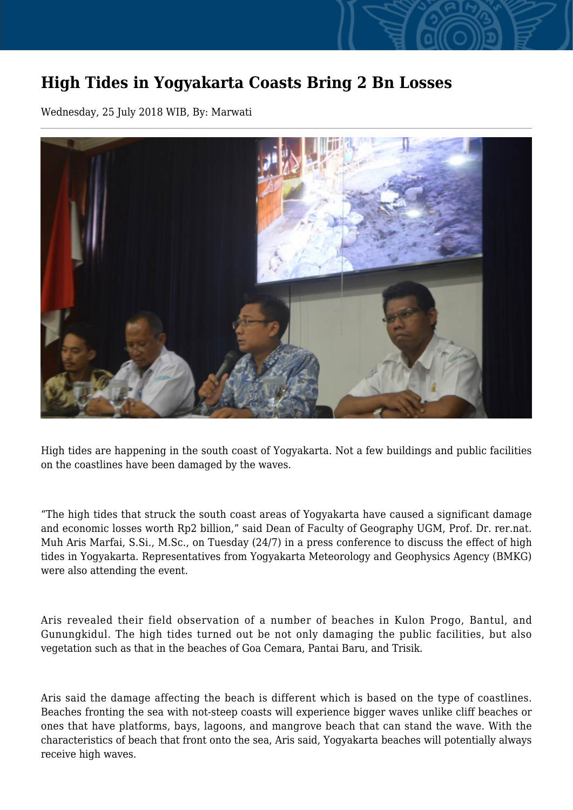## **High Tides in Yogyakarta Coasts Bring 2 Bn Losses**

Wednesday, 25 July 2018 WIB, By: Marwati



High tides are happening in the south coast of Yogyakarta. Not a few buildings and public facilities on the coastlines have been damaged by the waves.

"The high tides that struck the south coast areas of Yogyakarta have caused a significant damage and economic losses worth Rp2 billion," said Dean of Faculty of Geography UGM, Prof. Dr. rer.nat. Muh Aris Marfai, S.Si., M.Sc., on Tuesday (24/7) in a press conference to discuss the effect of high tides in Yogyakarta. Representatives from Yogyakarta Meteorology and Geophysics Agency (BMKG) were also attending the event.

Aris revealed their field observation of a number of beaches in Kulon Progo, Bantul, and Gunungkidul. The high tides turned out be not only damaging the public facilities, but also vegetation such as that in the beaches of Goa Cemara, Pantai Baru, and Trisik.

Aris said the damage affecting the beach is different which is based on the type of coastlines. Beaches fronting the sea with not-steep coasts will experience bigger waves unlike cliff beaches or ones that have platforms, bays, lagoons, and mangrove beach that can stand the wave. With the characteristics of beach that front onto the sea, Aris said, Yogyakarta beaches will potentially always receive high waves.